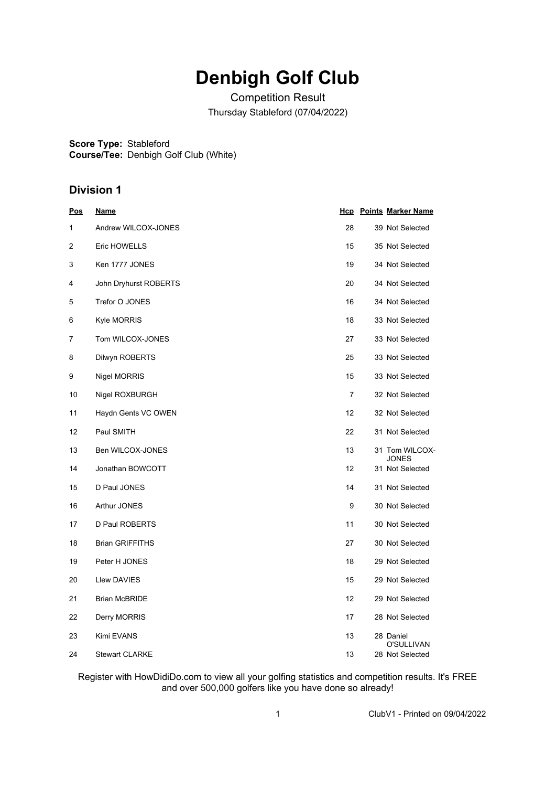## **Denbigh Golf Club**

Competition Result Thursday Stableford (07/04/2022)

**Score Type:** Stableford

**Course/Tee:** Denbigh Golf Club (White)

## **Division 1**

| <u>Pos</u>     | <u>Name</u>            |                | <b>Hcp</b> Points Marker Name  |
|----------------|------------------------|----------------|--------------------------------|
| 1              | Andrew WILCOX-JONES    | 28             | 39 Not Selected                |
| $\overline{2}$ | Eric HOWELLS           | 15             | 35 Not Selected                |
| 3              | Ken 1777 JONES         | 19             | 34 Not Selected                |
| 4              | John Dryhurst ROBERTS  | 20             | 34 Not Selected                |
| 5              | Trefor O JONES         | 16             | 34 Not Selected                |
| 6              | <b>Kyle MORRIS</b>     | 18             | 33 Not Selected                |
| 7              | Tom WILCOX-JONES       | 27             | 33 Not Selected                |
| 8              | Dilwyn ROBERTS         | 25             | 33 Not Selected                |
| 9              | Nigel MORRIS           | 15             | 33 Not Selected                |
| 10             | Nigel ROXBURGH         | $\overline{7}$ | 32 Not Selected                |
| 11             | Haydn Gents VC OWEN    | 12             | 32 Not Selected                |
| 12             | Paul SMITH             | 22             | 31 Not Selected                |
| 13             | Ben WILCOX-JONES       | 13             | 31 Tom WILCOX-<br><b>JONES</b> |
| 14             | Jonathan BOWCOTT       | 12             | 31 Not Selected                |
| 15             | D Paul JONES           | 14             | 31 Not Selected                |
| 16             | Arthur JONES           | 9              | 30 Not Selected                |
| 17             | D Paul ROBERTS         | 11             | 30 Not Selected                |
| 18             | <b>Brian GRIFFITHS</b> | 27             | 30 Not Selected                |
| 19             | Peter H JONES          | 18             | 29 Not Selected                |
| 20             | <b>Llew DAVIES</b>     | 15             | 29 Not Selected                |
| 21             | <b>Brian McBRIDE</b>   | 12             | 29 Not Selected                |
| 22             | Derry MORRIS           | 17             | 28 Not Selected                |
| 23             | Kimi EVANS             | 13             | 28 Daniel<br>O'SULLIVAN        |
| 24             | <b>Stewart CLARKE</b>  | 13             | 28 Not Selected                |

Register with HowDidiDo.com to view all your golfing statistics and competition results. It's FREE and over 500,000 golfers like you have done so already!